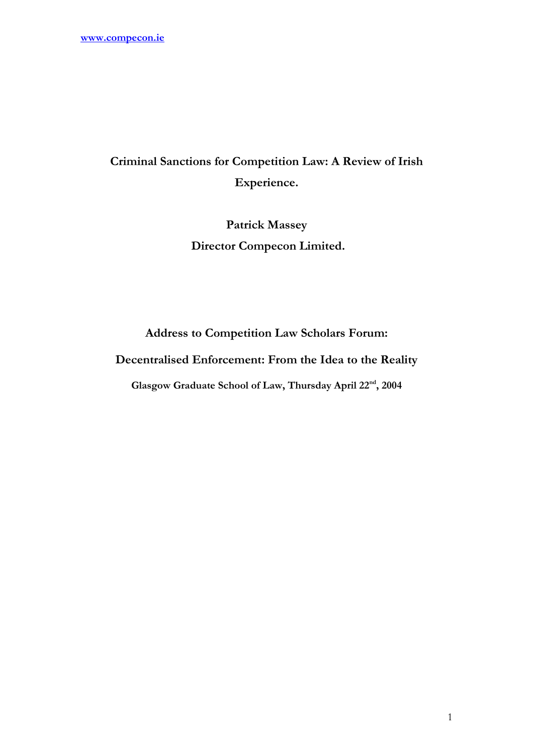# Criminal Sanctions for Competition Law: A Review of Irish Experience.

Patrick Massey Director Compecon Limited.

Address to Competition Law Scholars Forum:

Decentralised Enforcement: From the Idea to the Reality

Glasgow Graduate School of Law, Thursday April 22nd, 2004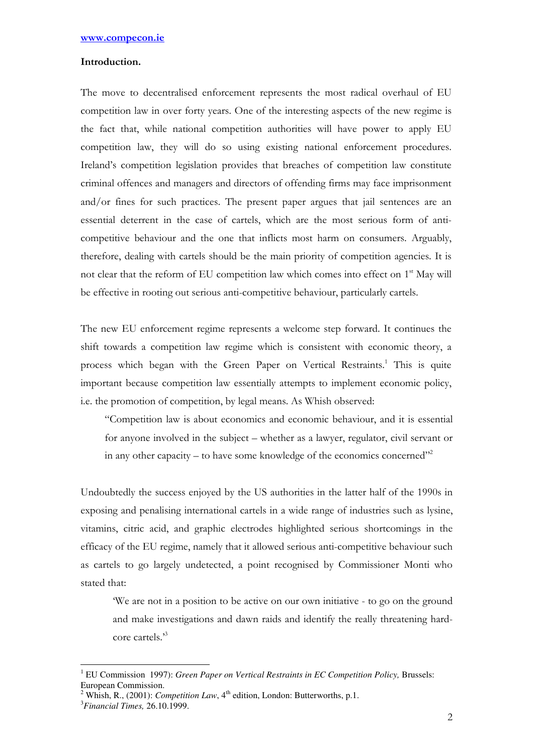# Introduction.

The move to decentralised enforcement represents the most radical overhaul of EU competition law in over forty years. One of the interesting aspects of the new regime is the fact that, while national competition authorities will have power to apply EU competition law, they will do so using existing national enforcement procedures. Ireland's competition legislation provides that breaches of competition law constitute criminal offences and managers and directors of offending firms may face imprisonment and/or fines for such practices. The present paper argues that jail sentences are an essential deterrent in the case of cartels, which are the most serious form of anticompetitive behaviour and the one that inflicts most harm on consumers. Arguably, therefore, dealing with cartels should be the main priority of competition agencies. It is not clear that the reform of EU competition law which comes into effect on 1<sup>st</sup> May will be effective in rooting out serious anti-competitive behaviour, particularly cartels.

The new EU enforcement regime represents a welcome step forward. It continues the shift towards a competition law regime which is consistent with economic theory, a process which began with the Green Paper on Vertical Restraints.<sup>1</sup> This is quite important because competition law essentially attempts to implement economic policy, i.e. the promotion of competition, by legal means. As Whish observed:

"Competition law is about economics and economic behaviour, and it is essential for anyone involved in the subject – whether as a lawyer, regulator, civil servant or in any other capacity – to have some knowledge of the economics concerned $^{\prime\prime\prime}$ 

Undoubtedly the success enjoyed by the US authorities in the latter half of the 1990s in exposing and penalising international cartels in a wide range of industries such as lysine, vitamins, citric acid, and graphic electrodes highlighted serious shortcomings in the efficacy of the EU regime, namely that it allowed serious anti-competitive behaviour such as cartels to go largely undetected, a point recognised by Commissioner Monti who stated that:

'We are not in a position to be active on our own initiative - to go on the ground and make investigations and dawn raids and identify the really threatening hardcore cartels.'<sup>3</sup>

 $\overline{\phantom{a}}$ <sup>1</sup> EU Commission 1997): *Green Paper on Vertical Restraints in EC Competition Policy*, Brussels: European Commission.

<sup>&</sup>lt;sup>2</sup> Whish, R., (2001): *Competition Law*,  $4<sup>th</sup>$  edition, London: Butterworths, p.1.

<sup>3</sup>*Financial Times,* 26.10.1999.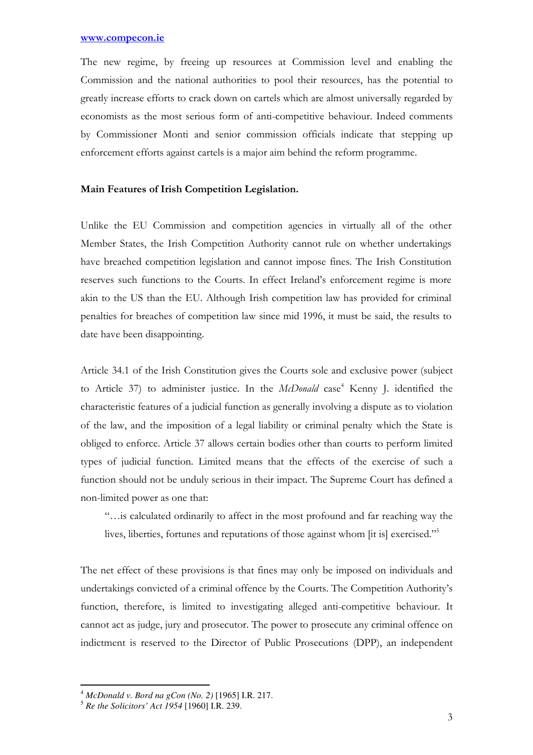The new regime, by freeing up resources at Commission level and enabling the Commission and the national authorities to pool their resources, has the potential to greatly increase efforts to crack down on cartels which are almost universally regarded by economists as the most serious form of anti-competitive behaviour. Indeed comments by Commissioner Monti and senior commission officials indicate that stepping up enforcement efforts against cartels is a major aim behind the reform programme.

## Main Features of Irish Competition Legislation.

Unlike the EU Commission and competition agencies in virtually all of the other Member States, the Irish Competition Authority cannot rule on whether undertakings have breached competition legislation and cannot impose fines. The Irish Constitution reserves such functions to the Courts. In effect Ireland's enforcement regime is more akin to the US than the EU. Although Irish competition law has provided for criminal penalties for breaches of competition law since mid 1996, it must be said, the results to date have been disappointing.

Article 34.1 of the Irish Constitution gives the Courts sole and exclusive power (subject to Article 37) to administer justice. In the McDonald case<sup>4</sup> Kenny J. identified the characteristic features of a judicial function as generally involving a dispute as to violation of the law, and the imposition of a legal liability or criminal penalty which the State is obliged to enforce. Article 37 allows certain bodies other than courts to perform limited types of judicial function. Limited means that the effects of the exercise of such a function should not be unduly serious in their impact. The Supreme Court has defined a non-limited power as one that:

"…is calculated ordinarily to affect in the most profound and far reaching way the lives, liberties, fortunes and reputations of those against whom [it is] exercised."<sup>5</sup>

The net effect of these provisions is that fines may only be imposed on individuals and undertakings convicted of a criminal offence by the Courts. The Competition Authority's function, therefore, is limited to investigating alleged anti-competitive behaviour. It cannot act as judge, jury and prosecutor. The power to prosecute any criminal offence on indictment is reserved to the Director of Public Prosecutions (DPP), an independent

l

<sup>4</sup> *McDonald v. Bord na gCon (No. 2)* [1965] I.R. 217.

<sup>5</sup> *Re the Solicitors' Act 1954* [1960] I.R. 239.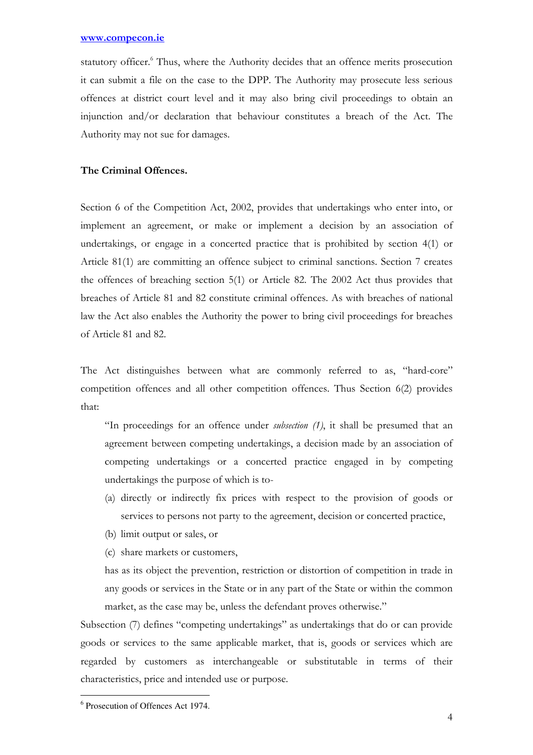statutory officer.<sup>6</sup> Thus, where the Authority decides that an offence merits prosecution it can submit a file on the case to the DPP. The Authority may prosecute less serious offences at district court level and it may also bring civil proceedings to obtain an injunction and/or declaration that behaviour constitutes a breach of the Act. The Authority may not sue for damages.

# The Criminal Offences.

Section 6 of the Competition Act, 2002, provides that undertakings who enter into, or implement an agreement, or make or implement a decision by an association of undertakings, or engage in a concerted practice that is prohibited by section 4(1) or Article 81(1) are committing an offence subject to criminal sanctions. Section 7 creates the offences of breaching section 5(1) or Article 82. The 2002 Act thus provides that breaches of Article 81 and 82 constitute criminal offences. As with breaches of national law the Act also enables the Authority the power to bring civil proceedings for breaches of Article 81 and 82.

The Act distinguishes between what are commonly referred to as, "hard-core" competition offences and all other competition offences. Thus Section 6(2) provides that:

"In proceedings for an offence under subsection (1), it shall be presumed that an agreement between competing undertakings, a decision made by an association of competing undertakings or a concerted practice engaged in by competing undertakings the purpose of which is to-

- (a) directly or indirectly fix prices with respect to the provision of goods or services to persons not party to the agreement, decision or concerted practice,
- (b) limit output or sales, or
- (c) share markets or customers,

has as its object the prevention, restriction or distortion of competition in trade in any goods or services in the State or in any part of the State or within the common market, as the case may be, unless the defendant proves otherwise."

Subsection (7) defines "competing undertakings" as undertakings that do or can provide goods or services to the same applicable market, that is, goods or services which are regarded by customers as interchangeable or substitutable in terms of their characteristics, price and intended use or purpose.

 6 Prosecution of Offences Act 1974.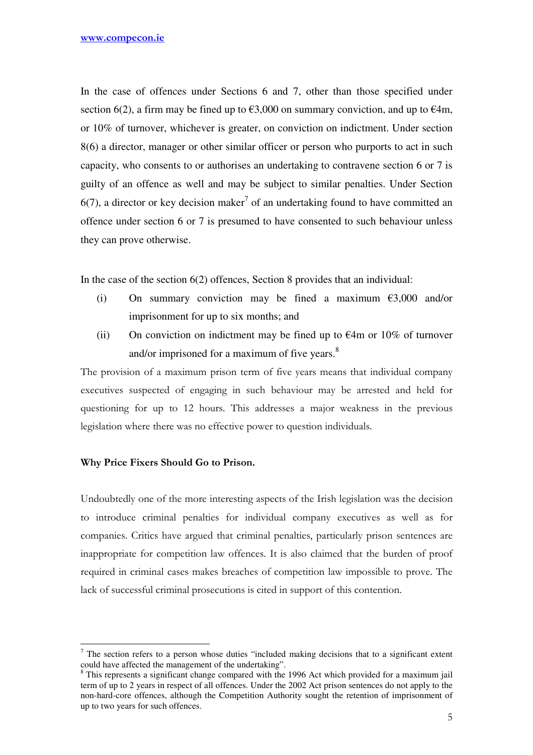In the case of offences under Sections 6 and 7, other than those specified under section 6(2), a firm may be fined up to  $\epsilon$ 3,000 on summary conviction, and up to  $\epsilon$ 4m, or 10% of turnover, whichever is greater, on conviction on indictment. Under section 8(6) a director, manager or other similar officer or person who purports to act in such capacity, who consents to or authorises an undertaking to contravene section 6 or 7 is guilty of an offence as well and may be subject to similar penalties. Under Section  $6(7)$ , a director or key decision maker<sup>7</sup> of an undertaking found to have committed an offence under section 6 or 7 is presumed to have consented to such behaviour unless they can prove otherwise.

In the case of the section 6(2) offences, Section 8 provides that an individual:

- (i) On summary conviction may be fined a maximum  $\epsilon$ 3,000 and/or imprisonment for up to six months; and
- (ii) On conviction on indictment may be fined up to  $\epsilon$ 4m or 10% of turnover and/or imprisoned for a maximum of five years.<sup>8</sup>

The provision of a maximum prison term of five years means that individual company executives suspected of engaging in such behaviour may be arrested and held for questioning for up to 12 hours. This addresses a major weakness in the previous legislation where there was no effective power to question individuals.

# Why Price Fixers Should Go to Prison.

l

Undoubtedly one of the more interesting aspects of the Irish legislation was the decision to introduce criminal penalties for individual company executives as well as for companies. Critics have argued that criminal penalties, particularly prison sentences are inappropriate for competition law offences. It is also claimed that the burden of proof required in criminal cases makes breaches of competition law impossible to prove. The lack of successful criminal prosecutions is cited in support of this contention.

 $<sup>7</sup>$  The section refers to a person whose duties "included making decisions that to a significant extent</sup> could have affected the management of the undertaking".

 $8$  This represents a significant change compared with the 1996 Act which provided for a maximum jail term of up to 2 years in respect of all offences. Under the 2002 Act prison sentences do not apply to the non-hard-core offences, although the Competition Authority sought the retention of imprisonment of up to two years for such offences.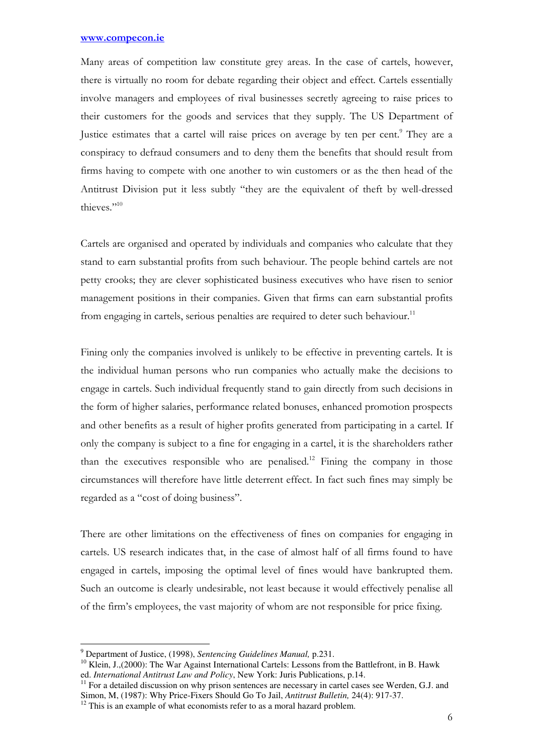Many areas of competition law constitute grey areas. In the case of cartels, however, there is virtually no room for debate regarding their object and effect. Cartels essentially involve managers and employees of rival businesses secretly agreeing to raise prices to their customers for the goods and services that they supply. The US Department of Justice estimates that a cartel will raise prices on average by ten per cent.<sup>9</sup> They are a conspiracy to defraud consumers and to deny them the benefits that should result from firms having to compete with one another to win customers or as the then head of the Antitrust Division put it less subtly "they are the equivalent of theft by well-dressed thieves."10

Cartels are organised and operated by individuals and companies who calculate that they stand to earn substantial profits from such behaviour. The people behind cartels are not petty crooks; they are clever sophisticated business executives who have risen to senior management positions in their companies. Given that firms can earn substantial profits from engaging in cartels, serious penalties are required to deter such behaviour.<sup>11</sup>

Fining only the companies involved is unlikely to be effective in preventing cartels. It is the individual human persons who run companies who actually make the decisions to engage in cartels. Such individual frequently stand to gain directly from such decisions in the form of higher salaries, performance related bonuses, enhanced promotion prospects and other benefits as a result of higher profits generated from participating in a cartel. If only the company is subject to a fine for engaging in a cartel, it is the shareholders rather than the executives responsible who are penalised.<sup>12</sup> Fining the company in those circumstances will therefore have little deterrent effect. In fact such fines may simply be regarded as a "cost of doing business".

There are other limitations on the effectiveness of fines on companies for engaging in cartels. US research indicates that, in the case of almost half of all firms found to have engaged in cartels, imposing the optimal level of fines would have bankrupted them. Such an outcome is clearly undesirable, not least because it would effectively penalise all of the firm's employees, the vast majority of whom are not responsible for price fixing.

l

<sup>9</sup> Department of Justice, (1998), *Sentencing Guidelines Manual,* p.231.

<sup>&</sup>lt;sup>10</sup> Klein, J.,(2000): The War Against International Cartels: Lessons from the Battlefront, in B. Hawk ed. *International Antitrust Law and Policy*, New York: Juris Publications, p.14.

<sup>&</sup>lt;sup>11</sup> For a detailed discussion on why prison sentences are necessary in cartel cases see Werden, G.J. and Simon, M, (1987): Why Price-Fixers Should Go To Jail, *Antitrust Bulletin,* 24(4): 917-37.

 $12$  This is an example of what economists refer to as a moral hazard problem.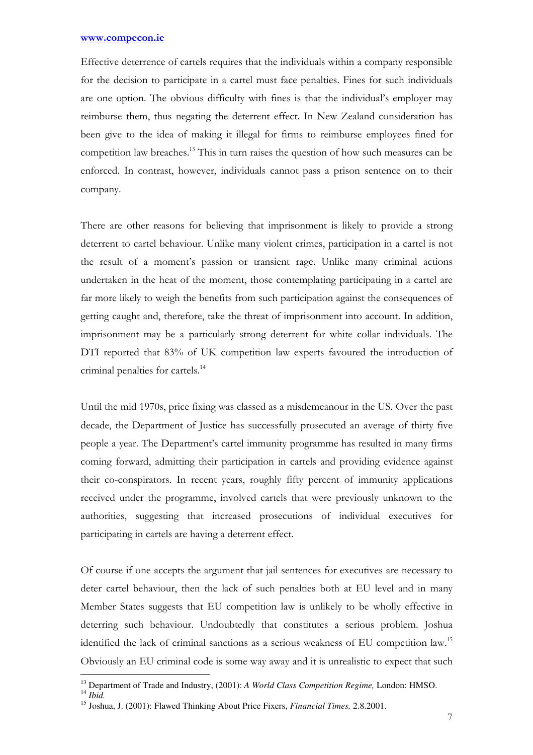Effective deterrence of cartels requires that the individuals within a company responsible for the decision to participate in a cartel must face penalties. Fines for such individuals are one option. The obvious difficulty with fines is that the individual's employer may reimburse them, thus negating the deterrent effect. In New Zealand consideration has been give to the idea of making it illegal for firms to reimburse employees fined for competition law breaches.<sup>13</sup> This in turn raises the question of how such measures can be enforced. In contrast, however, individuals cannot pass a prison sentence on to their company.

There are other reasons for believing that imprisonment is likely to provide a strong deterrent to cartel behaviour. Unlike many violent crimes, participation in a cartel is not the result of a moment's passion or transient rage. Unlike many criminal actions undertaken in the heat of the moment, those contemplating participating in a cartel are far more likely to weigh the benefits from such participation against the consequences of getting caught and, therefore, take the threat of imprisonment into account. In addition, imprisonment may be a particularly strong deterrent for white collar individuals. The DTI reported that 83% of UK competition law experts favoured the introduction of criminal penalties for cartels.<sup>14</sup>

Until the mid 1970s, price fixing was classed as a misdemeanour in the US. Over the past decade, the Department of Justice has successfully prosecuted an average of thirty five people a year. The Department's cartel immunity programme has resulted in many firms coming forward, admitting their participation in cartels and providing evidence against their co-conspirators. In recent years, roughly fifty percent of immunity applications received under the programme, involved cartels that were previously unknown to the authorities, suggesting that increased prosecutions of individual executives for participating in cartels are having a deterrent effect.

Of course if one accepts the argument that jail sentences for executives are necessary to deter cartel behaviour, then the lack of such penalties both at EU level and in many Member States suggests that EU competition law is unlikely to be wholly effective in deterring such behaviour. Undoubtedly that constitutes a serious problem. Joshua identified the lack of criminal sanctions as a serious weakness of EU competition law.<sup>15</sup> Obviously an EU criminal code is some way away and it is unrealistic to expect that such

l

<sup>13</sup> Department of Trade and Industry, (2001): *A World Class Competition Regime,* London: HMSO.

 $^{14}$  *Ibid.* 

<sup>15</sup> Joshua, J. (2001): Flawed Thinking About Price Fixers, *Financial Times,* 2.8.2001.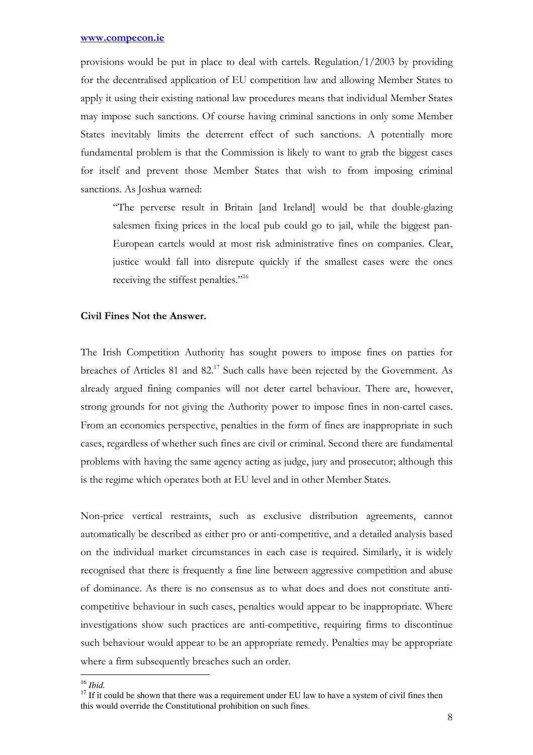provisions would be put in place to deal with cartels. Regulation/ $1/2003$  by providing for the decentralised application of EU competition law and allowing Member States to apply it using their existing national law procedures means that individual Member States may impose such sanctions. Of course having criminal sanctions in only some Member States inevitably limits the deterrent effect of such sanctions. A potentially more fundamental problem is that the Commission is likely to want to grab the biggest cases for itself and prevent those Member States that wish to from imposing criminal sanctions. As Joshua warned:

"The perverse result in Britain [and Ireland] would be that double-glazing salesmen fixing prices in the local pub could go to jail, while the biggest pan-European cartels would at most risk administrative fines on companies. Clear, justice would fall into disrepute quickly if the smallest cases were the ones receiving the stiffest penalties."<sup>16</sup>

## Civil Fines Not the Answer.

The Irish Competition Authority has sought powers to impose fines on parties for breaches of Articles 81 and 82.<sup>17</sup> Such calls have been rejected by the Government. As already argued fining companies will not deter cartel behaviour. There are, however, strong grounds for not giving the Authority power to impose fines in non-cartel cases. From an economics perspective, penalties in the form of fines are inappropriate in such cases, regardless of whether such fines are civil or criminal. Second there are fundamental problems with having the same agency acting as judge, jury and prosecutor; although this is the regime which operates both at EU level and in other Member States.

Non-price vertical restraints, such as exclusive distribution agreements, cannot automatically be described as either pro or anti-competitive, and a detailed analysis based on the individual market circumstances in each case is required. Similarly, it is widely recognised that there is frequently a fine line between aggressive competition and abuse of dominance. As there is no consensus as to what does and does not constitute anticompetitive behaviour in such cases, penalties would appear to be inappropriate. Where investigations show such practices are anti-competitive, requiring firms to discontinue such behaviour would appear to be an appropriate remedy. Penalties may be appropriate where a firm subsequently breaches such an order.

l <sup>16</sup> *Ibid.* 

 $17$  If it could be shown that there was a requirement under EU law to have a system of civil fines then this would override the Constitutional prohibition on such fines.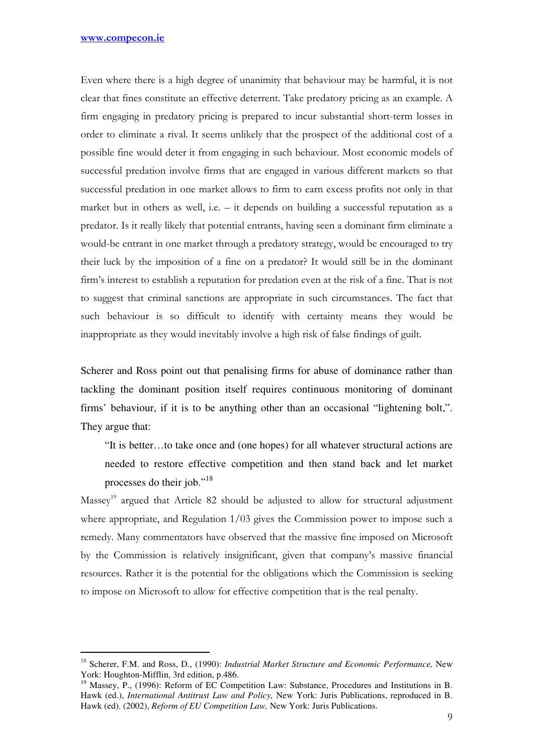$\overline{a}$ 

Even where there is a high degree of unanimity that behaviour may be harmful, it is not clear that fines constitute an effective deterrent. Take predatory pricing as an example. A firm engaging in predatory pricing is prepared to incur substantial short-term losses in order to eliminate a rival. It seems unlikely that the prospect of the additional cost of a possible fine would deter it from engaging in such behaviour. Most economic models of successful predation involve firms that are engaged in various different markets so that successful predation in one market allows to firm to earn excess profits not only in that market but in others as well, i.e. – it depends on building a successful reputation as a predator. Is it really likely that potential entrants, having seen a dominant firm eliminate a would-be entrant in one market through a predatory strategy, would be encouraged to try their luck by the imposition of a fine on a predator? It would still be in the dominant firm's interest to establish a reputation for predation even at the risk of a fine. That is not to suggest that criminal sanctions are appropriate in such circumstances. The fact that such behaviour is so difficult to identify with certainty means they would be inappropriate as they would inevitably involve a high risk of false findings of guilt.

Scherer and Ross point out that penalising firms for abuse of dominance rather than tackling the dominant position itself requires continuous monitoring of dominant firms' behaviour, if it is to be anything other than an occasional "lightening bolt,". They argue that:

"It is better…to take once and (one hopes) for all whatever structural actions are needed to restore effective competition and then stand back and let market processes do their job."<sup>18</sup>

 $Massey<sup>19</sup>$  argued that Article 82 should be adjusted to allow for structural adjustment where appropriate, and Regulation 1/03 gives the Commission power to impose such a remedy. Many commentators have observed that the massive fine imposed on Microsoft by the Commission is relatively insignificant, given that company's massive financial resources. Rather it is the potential for the obligations which the Commission is seeking to impose on Microsoft to allow for effective competition that is the real penalty.

<sup>18</sup> Scherer, F.M. and Ross, D., (1990): *Industrial Market Structure and Economic Performance,* New York: Houghton-Mifflin, 3rd edition, p.486.

<sup>&</sup>lt;sup>19</sup> Massey, P., (1996): Reform of EC Competition Law: Substance, Procedures and Institutions in B. Hawk (ed.), *International Antitrust Law and Policy,* New York: Juris Publications, reproduced in B. Hawk (ed). (2002), *Reform of EU Competition Law,* New York: Juris Publications.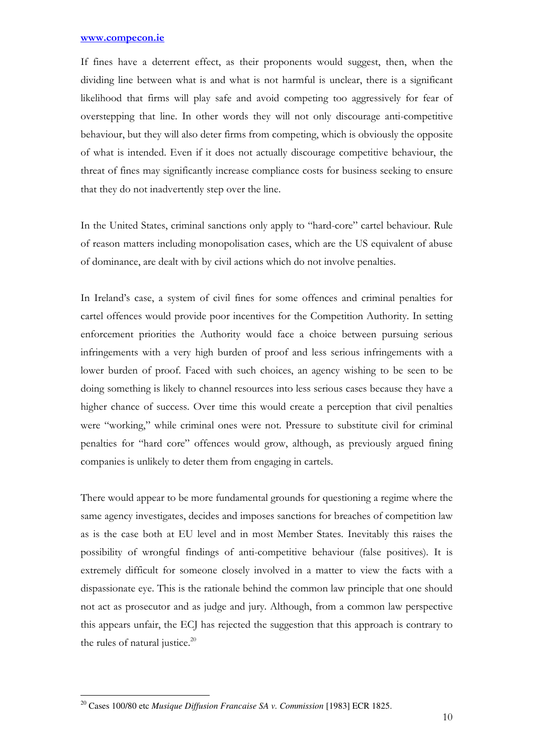If fines have a deterrent effect, as their proponents would suggest, then, when the dividing line between what is and what is not harmful is unclear, there is a significant likelihood that firms will play safe and avoid competing too aggressively for fear of overstepping that line. In other words they will not only discourage anti-competitive behaviour, but they will also deter firms from competing, which is obviously the opposite of what is intended. Even if it does not actually discourage competitive behaviour, the threat of fines may significantly increase compliance costs for business seeking to ensure that they do not inadvertently step over the line.

In the United States, criminal sanctions only apply to "hard-core" cartel behaviour. Rule of reason matters including monopolisation cases, which are the US equivalent of abuse of dominance, are dealt with by civil actions which do not involve penalties.

In Ireland's case, a system of civil fines for some offences and criminal penalties for cartel offences would provide poor incentives for the Competition Authority. In setting enforcement priorities the Authority would face a choice between pursuing serious infringements with a very high burden of proof and less serious infringements with a lower burden of proof. Faced with such choices, an agency wishing to be seen to be doing something is likely to channel resources into less serious cases because they have a higher chance of success. Over time this would create a perception that civil penalties were "working," while criminal ones were not. Pressure to substitute civil for criminal penalties for "hard core" offences would grow, although, as previously argued fining companies is unlikely to deter them from engaging in cartels.

There would appear to be more fundamental grounds for questioning a regime where the same agency investigates, decides and imposes sanctions for breaches of competition law as is the case both at EU level and in most Member States. Inevitably this raises the possibility of wrongful findings of anti-competitive behaviour (false positives). It is extremely difficult for someone closely involved in a matter to view the facts with a dispassionate eye. This is the rationale behind the common law principle that one should not act as prosecutor and as judge and jury. Although, from a common law perspective this appears unfair, the ECJ has rejected the suggestion that this approach is contrary to the rules of natural justice. $20$ 

 $\overline{a}$ <sup>20</sup> Cases 100/80 etc *Musique Diffusion Francaise SA v. Commission* [1983] ECR 1825.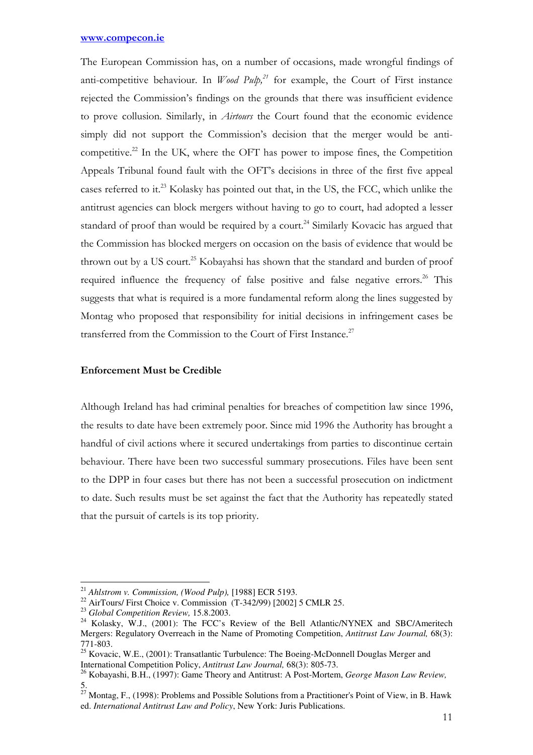The European Commission has, on a number of occasions, made wrongful findings of anti-competitive behaviour. In *Wood Pulp*,<sup>21</sup> for example, the Court of First instance rejected the Commission's findings on the grounds that there was insufficient evidence to prove collusion. Similarly, in Airtours the Court found that the economic evidence simply did not support the Commission's decision that the merger would be anticompetitive.<sup>22</sup> In the UK, where the OFT has power to impose fines, the Competition Appeals Tribunal found fault with the OFT's decisions in three of the first five appeal cases referred to it.<sup>23</sup> Kolasky has pointed out that, in the US, the FCC, which unlike the antitrust agencies can block mergers without having to go to court, had adopted a lesser standard of proof than would be required by a court.<sup>24</sup> Similarly Kovacic has argued that the Commission has blocked mergers on occasion on the basis of evidence that would be thrown out by a US court.<sup>25</sup> Kobayahsi has shown that the standard and burden of proof required influence the frequency of false positive and false negative errors.<sup>26</sup> This suggests that what is required is a more fundamental reform along the lines suggested by Montag who proposed that responsibility for initial decisions in infringement cases be transferred from the Commission to the Court of First Instance.<sup>27</sup>

# Enforcement Must be Credible

Although Ireland has had criminal penalties for breaches of competition law since 1996, the results to date have been extremely poor. Since mid 1996 the Authority has brought a handful of civil actions where it secured undertakings from parties to discontinue certain behaviour. There have been two successful summary prosecutions. Files have been sent to the DPP in four cases but there has not been a successful prosecution on indictment to date. Such results must be set against the fact that the Authority has repeatedly stated that the pursuit of cartels is its top priority.

 $\overline{a}$ 

<sup>21</sup> *Ahlstrom v. Commission, (Wood Pulp),* [1988] ECR 5193.

<sup>22</sup> AirTours/ First Choice v. Commission (T-342/99) [2002] 5 CMLR 25.

<sup>23</sup> *Global Competition Review,* 15.8.2003.

<sup>&</sup>lt;sup>24</sup> Kolasky, W.J., (2001): The FCC's Review of the Bell Atlantic/NYNEX and SBC/Ameritech Mergers: Regulatory Overreach in the Name of Promoting Competition, *Antitrust Law Journal,* 68(3): 771-803.

<sup>&</sup>lt;sup>25</sup> Kovacic, W.E., (2001): Transatlantic Turbulence: The Boeing-McDonnell Douglas Merger and International Competition Policy, *Antitrust Law Journal,* 68(3): 805-73.

<sup>26</sup> Kobayashi, B.H., (1997): Game Theory and Antitrust: A Post-Mortem, *George Mason Law Review,*  5.

 $^{27}$  Montag, F., (1998): Problems and Possible Solutions from a Practitioner's Point of View, in B. Hawk ed. *International Antitrust Law and Policy*, New York: Juris Publications.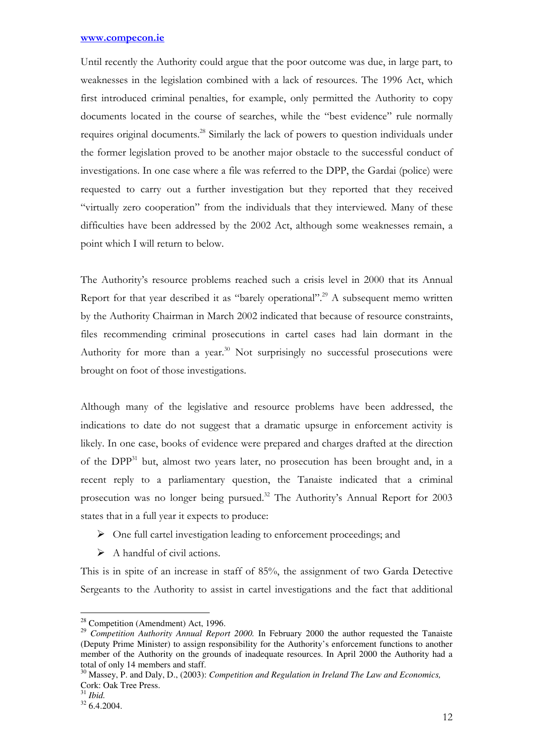Until recently the Authority could argue that the poor outcome was due, in large part, to weaknesses in the legislation combined with a lack of resources. The 1996 Act, which first introduced criminal penalties, for example, only permitted the Authority to copy documents located in the course of searches, while the "best evidence" rule normally requires original documents.<sup>28</sup> Similarly the lack of powers to question individuals under the former legislation proved to be another major obstacle to the successful conduct of investigations. In one case where a file was referred to the DPP, the Gardai (police) were requested to carry out a further investigation but they reported that they received "virtually zero cooperation" from the individuals that they interviewed. Many of these difficulties have been addressed by the 2002 Act, although some weaknesses remain, a point which I will return to below.

The Authority's resource problems reached such a crisis level in 2000 that its Annual Report for that year described it as "barely operational".<sup>29</sup> A subsequent memo written by the Authority Chairman in March 2002 indicated that because of resource constraints, files recommending criminal prosecutions in cartel cases had lain dormant in the Authority for more than a year.<sup>30</sup> Not surprisingly no successful prosecutions were brought on foot of those investigations.

Although many of the legislative and resource problems have been addressed, the indications to date do not suggest that a dramatic upsurge in enforcement activity is likely. In one case, books of evidence were prepared and charges drafted at the direction of the DPP<sup>31</sup> but, almost two years later, no prosecution has been brought and, in a recent reply to a parliamentary question, the Tanaiste indicated that a criminal prosecution was no longer being pursued.<sup>32</sup> The Authority's Annual Report for 2003 states that in a full year it expects to produce:

- $\triangleright$  One full cartel investigation leading to enforcement proceedings; and
- $\triangleright$  A handful of civil actions.

This is in spite of an increase in staff of 85%, the assignment of two Garda Detective Sergeants to the Authority to assist in cartel investigations and the fact that additional

 $\overline{a}$ 

<sup>&</sup>lt;sup>28</sup> Competition (Amendment) Act, 1996.

<sup>&</sup>lt;sup>29</sup> *Competition Authority Annual Report 2000*. In February 2000 the author requested the Tanaiste (Deputy Prime Minister) to assign responsibility for the Authority's enforcement functions to another member of the Authority on the grounds of inadequate resources. In April 2000 the Authority had a total of only 14 members and staff.

<sup>30</sup> Massey, P. and Daly, D., (2003): *Competition and Regulation in Ireland The Law and Economics,*  Cork: Oak Tree Press.

<sup>31</sup> *Ibid.* 

 $32\,6.4.2004$ .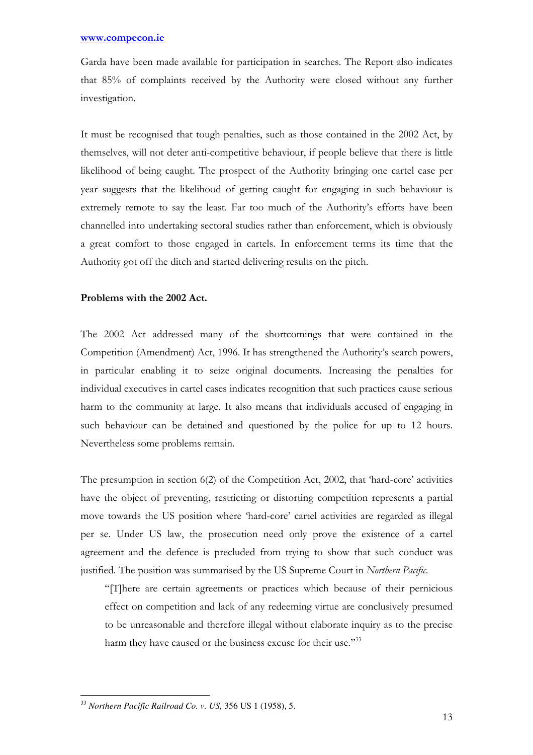Garda have been made available for participation in searches. The Report also indicates that 85% of complaints received by the Authority were closed without any further investigation.

It must be recognised that tough penalties, such as those contained in the 2002 Act, by themselves, will not deter anti-competitive behaviour, if people believe that there is little likelihood of being caught. The prospect of the Authority bringing one cartel case per year suggests that the likelihood of getting caught for engaging in such behaviour is extremely remote to say the least. Far too much of the Authority's efforts have been channelled into undertaking sectoral studies rather than enforcement, which is obviously a great comfort to those engaged in cartels. In enforcement terms its time that the Authority got off the ditch and started delivering results on the pitch.

# Problems with the 2002 Act.

The 2002 Act addressed many of the shortcomings that were contained in the Competition (Amendment) Act, 1996. It has strengthened the Authority's search powers, in particular enabling it to seize original documents. Increasing the penalties for individual executives in cartel cases indicates recognition that such practices cause serious harm to the community at large. It also means that individuals accused of engaging in such behaviour can be detained and questioned by the police for up to 12 hours. Nevertheless some problems remain.

The presumption in section 6(2) of the Competition Act, 2002, that 'hard-core' activities have the object of preventing, restricting or distorting competition represents a partial move towards the US position where 'hard-core' cartel activities are regarded as illegal per se. Under US law, the prosecution need only prove the existence of a cartel agreement and the defence is precluded from trying to show that such conduct was justified. The position was summarised by the US Supreme Court in Northern Pacific.

"[T]here are certain agreements or practices which because of their pernicious effect on competition and lack of any redeeming virtue are conclusively presumed to be unreasonable and therefore illegal without elaborate inquiry as to the precise harm they have caused or the business excuse for their use."33

 $\overline{a}$ <sup>33</sup> *Northern Pacific Railroad Co. v. US,* 356 US 1 (1958), 5.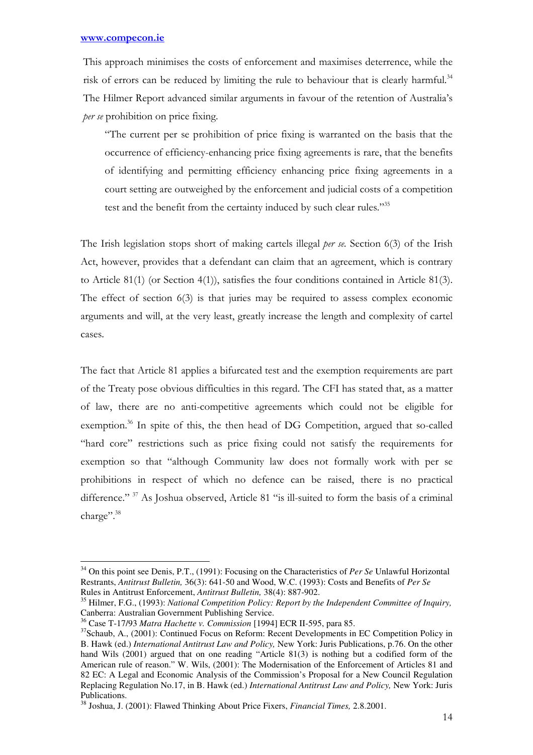$\overline{a}$ 

This approach minimises the costs of enforcement and maximises deterrence, while the risk of errors can be reduced by limiting the rule to behaviour that is clearly harmful.<sup>34</sup> The Hilmer Report advanced similar arguments in favour of the retention of Australia's per se prohibition on price fixing.

"The current per se prohibition of price fixing is warranted on the basis that the occurrence of efficiency-enhancing price fixing agreements is rare, that the benefits of identifying and permitting efficiency enhancing price fixing agreements in a court setting are outweighed by the enforcement and judicial costs of a competition test and the benefit from the certainty induced by such clear rules."<sup>35</sup>

The Irish legislation stops short of making cartels illegal *per se*. Section 6(3) of the Irish Act, however, provides that a defendant can claim that an agreement, which is contrary to Article 81(1) (or Section 4(1)), satisfies the four conditions contained in Article 81(3). The effect of section 6(3) is that juries may be required to assess complex economic arguments and will, at the very least, greatly increase the length and complexity of cartel cases.

The fact that Article 81 applies a bifurcated test and the exemption requirements are part of the Treaty pose obvious difficulties in this regard. The CFI has stated that, as a matter of law, there are no anti-competitive agreements which could not be eligible for exemption.<sup>36</sup> In spite of this, the then head of DG Competition, argued that so-called "hard core" restrictions such as price fixing could not satisfy the requirements for exemption so that "although Community law does not formally work with per se prohibitions in respect of which no defence can be raised, there is no practical difference." <sup>37</sup> As Joshua observed, Article 81 "is ill-suited to form the basis of a criminal charge".<sup>38</sup>

<sup>34</sup> On this point see Denis, P.T., (1991): Focusing on the Characteristics of *Per Se* Unlawful Horizontal Restrants, *Antitrust Bulletin,* 36(3): 641-50 and Wood, W.C. (1993): Costs and Benefits of *Per Se* Rules in Antitrust Enforcement, *Antitrust Bulletin,* 38(4): 887-902.

<sup>35</sup> Hilmer, F.G., (1993): *National Competition Policy: Report by the Independent Committee of Inquiry,*  Canberra: Australian Government Publishing Service.

<sup>36</sup> Case T-17/93 *Matra Hachette v. Commission* [1994] ECR II-595, para 85.

<sup>&</sup>lt;sup>37</sup>Schaub, A., (2001): Continued Focus on Reform: Recent Developments in EC Competition Policy in B. Hawk (ed.) *International Antitrust Law and Policy,* New York: Juris Publications, p.76. On the other hand Wils (2001) argued that on one reading "Article 81(3) is nothing but a codified form of the American rule of reason." W. Wils, (2001): The Modernisation of the Enforcement of Articles 81 and 82 EC: A Legal and Economic Analysis of the Commission's Proposal for a New Council Regulation Replacing Regulation No.17, in B. Hawk (ed.) *International Antitrust Law and Policy,* New York: Juris Publications.

<sup>38</sup> Joshua, J. (2001): Flawed Thinking About Price Fixers, *Financial Times,* 2.8.2001.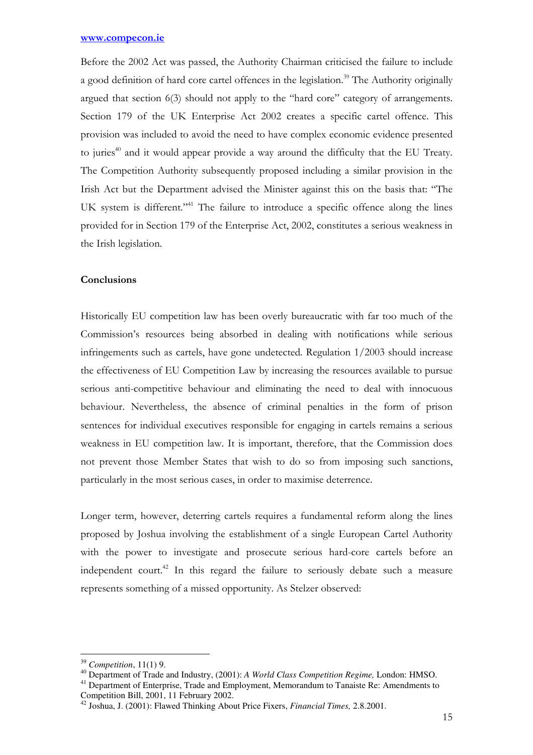Before the 2002 Act was passed, the Authority Chairman criticised the failure to include a good definition of hard core cartel offences in the legislation.<sup>39</sup> The Authority originally argued that section 6(3) should not apply to the "hard core" category of arrangements. Section 179 of the UK Enterprise Act 2002 creates a specific cartel offence. This provision was included to avoid the need to have complex economic evidence presented to juries<sup>40</sup> and it would appear provide a way around the difficulty that the EU Treaty. The Competition Authority subsequently proposed including a similar provision in the Irish Act but the Department advised the Minister against this on the basis that: "The UK system is different."<sup>41</sup> The failure to introduce a specific offence along the lines provided for in Section 179 of the Enterprise Act, 2002, constitutes a serious weakness in the Irish legislation.

## **Conclusions**

Historically EU competition law has been overly bureaucratic with far too much of the Commission's resources being absorbed in dealing with notifications while serious infringements such as cartels, have gone undetected. Regulation 1/2003 should increase the effectiveness of EU Competition Law by increasing the resources available to pursue serious anti-competitive behaviour and eliminating the need to deal with innocuous behaviour. Nevertheless, the absence of criminal penalties in the form of prison sentences for individual executives responsible for engaging in cartels remains a serious weakness in EU competition law. It is important, therefore, that the Commission does not prevent those Member States that wish to do so from imposing such sanctions, particularly in the most serious cases, in order to maximise deterrence.

Longer term, however, deterring cartels requires a fundamental reform along the lines proposed by Joshua involving the establishment of a single European Cartel Authority with the power to investigate and prosecute serious hard-core cartels before an independent court.<sup>42</sup> In this regard the failure to seriously debate such a measure represents something of a missed opportunity. As Stelzer observed:

 $\overline{a}$ 

<sup>39</sup> *Competition*, 11(1) 9.

<sup>40</sup> Department of Trade and Industry, (2001): *A World Class Competition Regime,* London: HMSO.

<sup>&</sup>lt;sup>41</sup> Department of Enterprise, Trade and Employment, Memorandum to Tanaiste Re: Amendments to Competition Bill, 2001, 11 February 2002.

<sup>42</sup> Joshua, J. (2001): Flawed Thinking About Price Fixers, *Financial Times,* 2.8.2001.